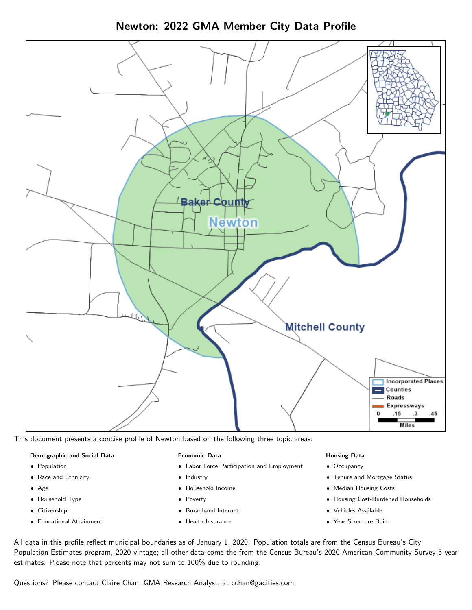Newton: 2022 GMA Member City Data Profile



This document presents a concise profile of Newton based on the following three topic areas:

#### Demographic and Social Data

- **•** Population
- Race and Ethnicity
- Age
- Household Type
- **Citizenship**
- Educational Attainment

#### Economic Data

- Labor Force Participation and Employment
- Industry
- Household Income
- Poverty
- Broadband Internet
- Health Insurance

#### Housing Data

- Occupancy
- Tenure and Mortgage Status
- Median Housing Costs
- Housing Cost-Burdened Households
- Vehicles Available
- Year Structure Built

All data in this profile reflect municipal boundaries as of January 1, 2020. Population totals are from the Census Bureau's City Population Estimates program, 2020 vintage; all other data come the from the Census Bureau's 2020 American Community Survey 5-year estimates. Please note that percents may not sum to 100% due to rounding.

Questions? Please contact Claire Chan, GMA Research Analyst, at [cchan@gacities.com.](mailto:cchan@gacities.com)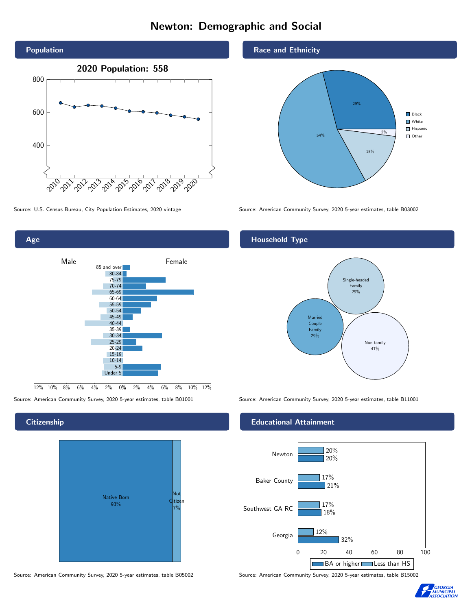# Newton: Demographic and Social





## **Citizenship**

Age



Source: American Community Survey, 2020 5-year estimates, table B05002 Source: American Community Survey, 2020 5-year estimates, table B15002

Race and Ethnicity



Source: U.S. Census Bureau, City Population Estimates, 2020 vintage Source: American Community Survey, 2020 5-year estimates, table B03002

# Household Type



Source: American Community Survey, 2020 5-year estimates, table B01001 Source: American Community Survey, 2020 5-year estimates, table B11001

#### Educational Attainment



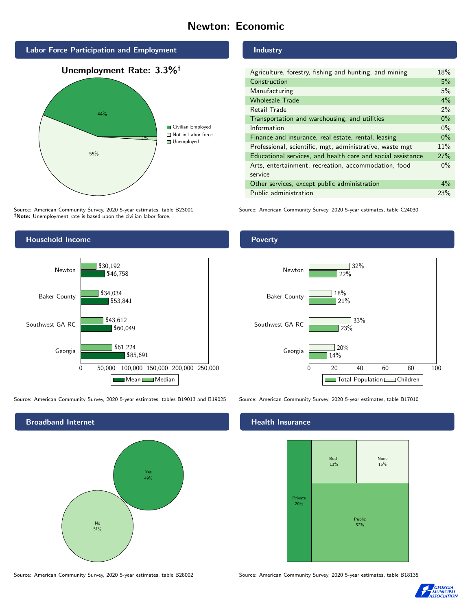# Newton: Economic



Source: American Community Survey, 2020 5-year estimates, table B23001 Note: Unemployment rate is based upon the civilian labor force.

### Industry

| Agriculture, forestry, fishing and hunting, and mining      | 18%   |
|-------------------------------------------------------------|-------|
| Construction                                                | 5%    |
| Manufacturing                                               | 5%    |
| <b>Wholesale Trade</b>                                      | 4%    |
| Retail Trade                                                | $2\%$ |
| Transportation and warehousing, and utilities               | $0\%$ |
| Information                                                 | $0\%$ |
| Finance and insurance, real estate, rental, leasing         | $0\%$ |
| Professional, scientific, mgt, administrative, waste mgt    | 11%   |
| Educational services, and health care and social assistance | 27%   |
| Arts, entertainment, recreation, accommodation, food        | $0\%$ |
| service                                                     |       |
| Other services, except public administration                | $4\%$ |
| Public administration                                       | 23%   |

Source: American Community Survey, 2020 5-year estimates, table C24030



Source: American Community Survey, 2020 5-year estimates, tables B19013 and B19025 Source: American Community Survey, 2020 5-year estimates, table B17010



Poverty



# **Health Insurance**



Source: American Community Survey, 2020 5-year estimates, table B28002 Source: American Community Survey, 2020 5-year estimates, table B18135